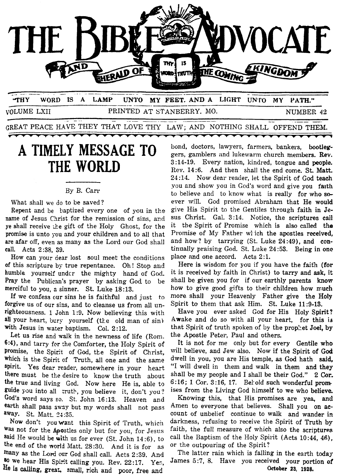

**THY WORD IS A LAMP UNTO MY FEET. ANDA LIGHT UNTO MY PATH."**  VOLUME LXII PRINTED AT STANBERRY. MO. NUMBER 42 UNTO MY FEET. AND A LIGHT UNTO MY PAT TRINTED AT STANBERGT. MO. MUMBER

GREAT PEACE HAVE THEY THAT LOVE THY LAW; AND NOTHING SHALL OFFEND THEM.

## **A TIMELY MESSAGE TO THE WORLD**

-<del>----</del>

## By B. Carr

What shall we do to be saved?

Repent and **be** baptized every one of you in the name of Jesus Christ for the remission of sins, and ye shall receive the gift of the Holy Ghost, for the promise is unto you and your chiIdren and to all that are afar off, even **as** many as the Lord our God shall call. Acts **2:38. 39.** 

How can your dear lost soul meet the conditions **of** this scripture by true repentance. Oh! Stop and humble yourself undcr the mighty hand of God. Pray the Publican's prayer by asking God to be merciful to you, *2* sinner. St. Luke **18:13.** 

If we confess our sins he is faithfil and just to forgive us of our sins, and to cleanse us from all unrighteousness. **1** John **19.** Now believing this with all your heart, bury yourself (the old man of sin) with Jesus in water baptism. Col. **2 :12.** 

Let us rise and walk in the newness of life (Rom. **6:4),** and tarry for :he Comforter, the Holy Spirit of promise, the Spirit of God, the Spirit of Christ, which is the Spirit of Truth, all one and the same spirit. Yes dear reader, somewhere in your heart there must be the desire to know the truth about the true and living God. Now here He is, able to guide you into all truth, you believe it, don't you? God's word says **so.** St. John **16:13.** Heaven and earth shall pass away but my words shall not pass away. St. Matt. 24:35.

Now don't you want this Spirit of Truth, which **Was** not for the Apostles only but for you, for Jesus said He would be **with** us for ever (St. John **14:6),** to the end of the world Matt. **28:30.** And it is for **as**  many as the Lord our God shall call. Acts 2:39. And <sup>80</sup> we hear His Spirit calling you. Rev. 22:17. Yes. **Be is calling,** gresr, **small, rich** and poor, free and

bond, doctors, lawyers, farmers, bankers, bootleg**gers,** gamblers and lukewarm church members. Rev. **3:14-19.** Every nation, kindred, tongue and people. Rev. **14:6.** And then shall the end come. St. **Matt. 24:16** Now dear reader, let the Spirit of God teach you and show you in God's word and give you **faith**  to believe and to know what is really for who **so**ever will. God promised Abraham that He would give His Spirit to the Gentiles through faith in Jesus Christ. Gal. **3:14.** Notice, the scriptures cail it the Spirit of Promise which is also called the Promise of My Father wlich the apostles received, and how? by tarrying (St. Luke **24:49),** and **con**tinually praising God. St. Luke **24:53.** Being in **one**  place and one accord. Acts **2:l.** 

**\*\*\*\*\*\*\*\*\*\*** 

Here is wisdom for you if you have the faith **(for**  it is received by faith in Christ) to tarry and ask, it shall be given you for if our earthly parents **know**  how to give good gifts to their children how **much**  more shall your Heavenly Father give **the Holy**  Spirit to them that ask Him. St. Luke **11:9-13.** 

Have you ever asked God for His Holy Spirit? Awake and do so with all your heart, for this is that Spirit of truth spoken of by the prophet Joel, by the Apostle Peter, Paul and others.

It is not for me only but for every Gentile **who**  will believe, and Jew also. Now if the Spirit **of** *God*  dwell in you, you are His temple, as **God** hath **said,**  "I will dwell in them and walk in them and they shall **be** my people and I shall be their God." **2 Cor. 6:16;** 1 Cor. **3:16, 17.** Bekold such wonderfuI prom ises from the Living God himself to we who believe.

Knowing this, that His promises are yea, **and**  Amen to everyone that believes. Shall you on account of unbelief continue to walk and wander in darkness, refusing to receive the Spirit of Truth **by**  faith, the full measure of which also the scriptures call the Baptism of the Holy Spirit (Acts **10:44, 46),**  or the outpouring of the Spirit?

The latter rain which is falling in the earth **today**  James **5:7, 8.** Have you received your portion **of October 23, 1928.**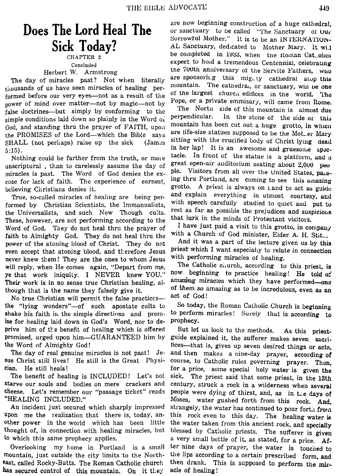## Does The Lord Heal The **Sick Today?**

Concluded Herbert W. Armstrong

The day of miracles past? Not when literally thousands of us have seen miracles of healing performed before our very eyes-not as a result of the nower of mind over matter—not by magic—not by false doctrines—but simply by conforming to the simple conditions laid down so plainly in the Word of God, and standing thru the prayer of FAITH, upon the PROMISES of the Lord—which the Bible savs SHALL (not perhaps) raise up the sick (James)  $5:15$ ).

Nothing could be farther from the truth, or more unscriptural, than to carelessly assume the day of miracles is past. The Word of God denies the excuse for lack of faith. The experience of earnest, believing Christians denies it.

True, so-called miracles of healing are being performed by Christian Scientists, the Immanualists, the Universalists, and such New Though cults. These, however, are not performing according to the Word of God. They do not heal thru the prayer of faith to Almighty God. They do not heal thru the power of the atoning blood of Christ. They do not even accept that atoning blood, and therefore Jesus never knew them! They are the ones to whom Jesus will reply, when He comes again, "Depart from me, ye that work iniquity. I NEVER knew YOU." Their work is in no sense true Christian healing, although that is the name they falsely give it.

No true Christian will permit the false practicesthe "lying wonders"—of such apostate cults to shake his faith in the simple directions and promise for healing laid down in God's Word, nor to deprive him of the benefit of healing which is offered promised, urged upon him—GUARANTEED him by the Word of Almighty God!

The day of real genuine miracles is not past! Je-He still is the Great Physisus Christ still lives! cian. He still heals!

The benefit of healing is INCLUDED! Let's not starve our souls and bodies on mere crackers and cheese. Let's remember our "passage ticket" reads "HEALING INCLUDED."

An incident just occured which sharply impressed upon me the realization that there is, today, another power in the world which has been little thought of, in connection with healing miracles, but to which this same prophecy applies.

Overlooking my home in Portland is a small mountain, just outside the city limits to the Northeast, called Rocky-Butts. The Roman Catholic church has secured control of this mountain. On it they

are now beginning construction of a huge cathedral, or sanctuary to be called "The Sanctuary of Our Sorrowful Mother." It is to be an INTERNATION-AL Sanctuary, dedicated to Mother Mary. It wil be completed in 1933, when the Roman Cat.ohes expect to hold a tremendous Centennial, celebrating the 700th anniversary of the Servite Fathers, who are sponsoring this mig.ty cathedral atop this mountain. The cathedral, or sanctuary, will be one of the largest church edifices in the world. The Pope, or a private emmisary, will came from Rome.

The North side of this mountain is almost due perpendicular. In the stone of the side or this mountain has been cut out a huge grotto, in which are life-size statues supposed to be the Mot..er Mary sitting with the crucified body of Christ lying dead in her lap! It is an awesome and gruesome spectacle. In front of the statue is a platform, and a great open-air auditorium seating about 2,000 peo Visitors from all over the United States, passple. ing thru Portland, are coming to see this amazing grotto. A priest is always on Land to act as guide and explain everything in utmost courtesy, and with speech carefully studied to quiet and put to rest as far as possible the prejudices and suspicions that lurk in the minds of Protestant visitors.

I have just paid a visit to this grotto, in company with a Church of God minister, Elder A. H. Stit...

And it was a part of the lecture given us by this priest which I want especially to relate in connection with performing miracles of healing.

The Catholic church, according to this priest, is beginning to practice healing! He told  $o^2$ now amazing miracles which they have performed-one of them so amazing as to be incredulous, even as an act of God!

So today, the Roman Catholic Church is beginning to perform miracles! Surely that is according to prophecy.

But let us look to the methods. As this priestguide explained it, the sufferer makes seven sacrifices—that is, gives up seven desired things or acts, and then makes a nine-day prayer, according of course, to Catholic rules governing prayer. Then, for a price, some special holy water is given the sick. The priest said that some priest, in the 13th century, struck a rock in a wilderness when several people were dying of thirst, and, as in the days of Moses, water gushed forth from this rock. And, strangely, the water has continued to pour forth from this rock even to this day. The healing water is the water taken from this ancient rock, and specially blessed by Catholic priests. The sufferer is given a very small bottle of it, as stated, for a price. After nine days of prayer, the water is touched to the lips according to a certain prescribed form, and then drank. This is supposed to perform the miracle of healing!